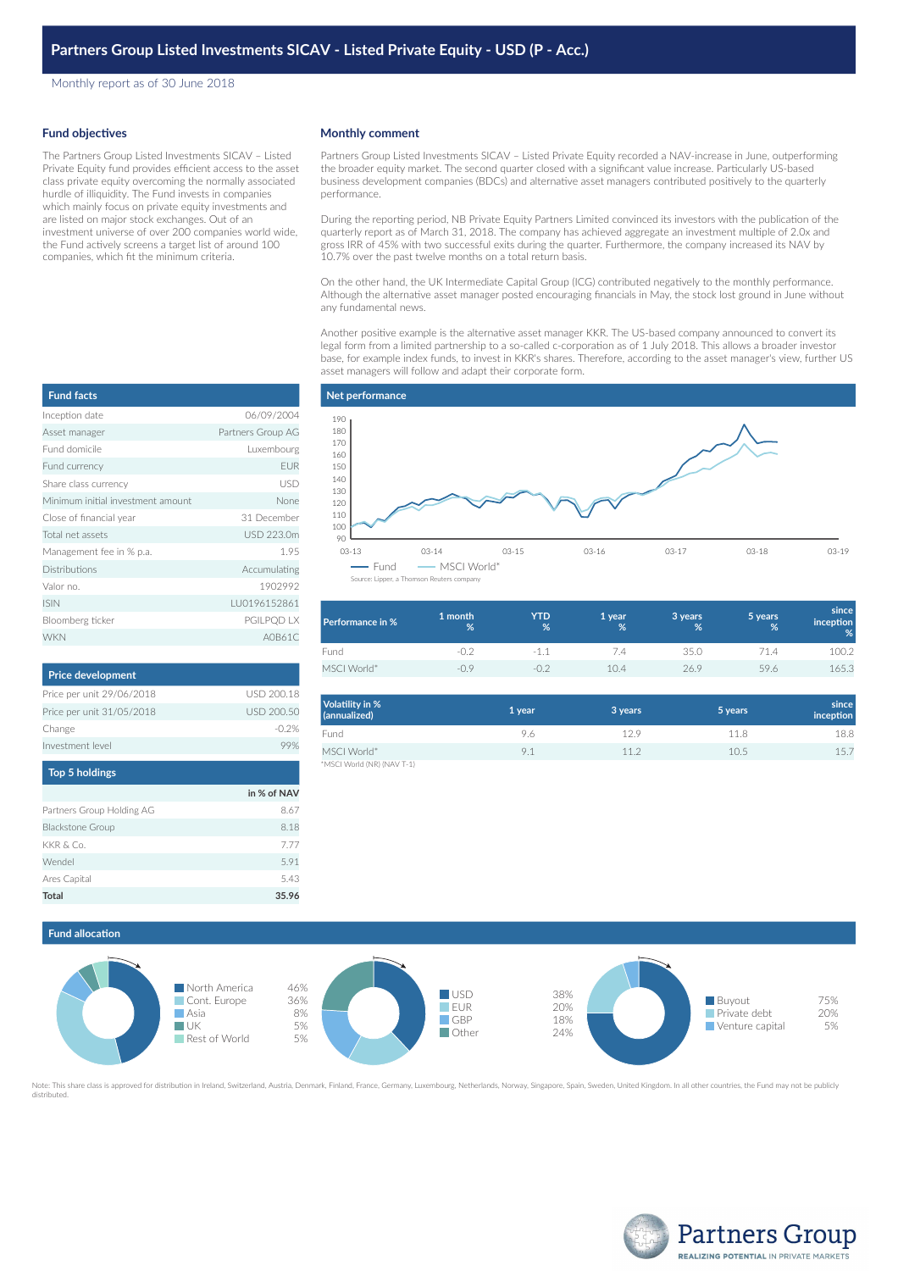Monthly report as of 30 June 2018

### **Fund objectives**

The Partners Group Listed Investments SICAV – Listed Private Equity fund provides efficient access to the asset class private equity overcoming the normally associated hurdle of illiquidity. The Fund invests in companies which mainly focus on private equity investments and are listed on major stock exchanges. Out of an investment universe of over 200 companies world wide, the Fund actively screens a target list of around 100 companies, which fit the minimum criteria.

## **Monthly comment**

Partners Group Listed Investments SICAV – Listed Private Equity recorded a NAV-increase in June, outperforming the broader equity market. The second quarter closed with a significant value increase. Particularly US-based business development companies (BDCs) and alternative asset managers contributed positively to the quarterly performance.

During the reporting period, NB Private Equity Partners Limited convinced its investors with the publication of the quarterly report as of March 31, 2018. The company has achieved aggregate an investment multiple of 2.0x and gross IRR of 45% with two successful exits during the quarter. Furthermore, the company increased its NAV by 10.7% over the past twelve months on a total return basis.

On the other hand, the UK Intermediate Capital Group (ICG) contributed negatively to the monthly performance. Although the alternative asset manager posted encouraging financials in May, the stock lost ground in June without any fundamental news.

Another positive example is the alternative asset manager KKR. The US-based company announced to convert its legal form from a limited partnership to a so-called c-corporation as of 1 July 2018. This allows a broader investor base, for example index funds, to invest in KKR's shares. Therefore, according to the asset manager's view, further US asset managers will follow and adapt their corporate form.

| <b>Fund facts</b>                 |                   |
|-----------------------------------|-------------------|
| Inception date                    | 06/09/2004        |
| Asset manager                     | Partners Group AG |
| Fund domicile                     | Luxembourg        |
| Fund currency                     | <b>EUR</b>        |
| Share class currency              | USD               |
| Minimum initial investment amount | None              |
| Close of financial year           | 31 December       |
| Total net assets                  | USD 223.0m        |
| Management fee in % p.a.          | 1.95              |
| Distributions                     | Accumulating      |
| Valor no                          | 1902992           |
| <b>ISIN</b>                       | LU0196152861      |
| Bloomberg ticker                  | <b>PGILPOD LX</b> |
| <b>WKN</b>                        | A0B61C            |

| <b>Price development</b>  |            |
|---------------------------|------------|
| Price per unit 29/06/2018 | USD 200.18 |
| Price per unit 31/05/2018 | USD 200.50 |
| Change                    | $-0.2%$    |
| Investment level          |            |
| <b>Ton 5 holdings</b>     |            |

| 10P <sub>1</sub>          |             |
|---------------------------|-------------|
|                           | in % of NAV |
| Partners Group Holding AG | 8.67        |
| <b>Blackstone Group</b>   | 8.18        |
| KKR & Co.                 | 7.77        |
| Wendel                    | 5.91        |
| Ares Capital              | 5.43        |
| Total                     | 35.96       |

#### **Net performance** 03-13 03-14 03-15 03-16 03-17 03-18 03-19 90 100 110 120 130 140 150 160 170 180 190 - Fund - MSCI World\* Source: Lipper, a Thomson Reuter

| Performance in % | 1 month<br>% | <b>YTD</b><br>% | 1 year<br>% | 3 years<br>% | 5 years<br>% | since<br>inception<br>% |
|------------------|--------------|-----------------|-------------|--------------|--------------|-------------------------|
| Fund             |              | -1.1            | 7.4         | 35.0         | 71.4         | 100.2                   |
| MSCI World*      | $-09$        | $-1$ ).         | 10.4        | 26.9         | 59.6         | 165.3                   |

| <b>Volatility in %</b><br>(annualized) | 1 year | 3 years | 5 years | since<br>inception |
|----------------------------------------|--------|---------|---------|--------------------|
| Fund                                   | 9.6    | 12.9    | 11.8    | 18.8               |
| MSCI World*                            | 9.1    | 11.2    | 10.5    | 15.7               |
| *MSCI World (NR) (NAV T-1)             |        |         |         |                    |

# **Fund allocation**



Note: This share class is approved for distribution in Ireland, Switzerland, Austria, Denmark, Finland, France, Germany, Luxembourg, Netherlands, Norway, Singapore, Spain, Sweden, United Kingdom, In all other countries, th distributed.